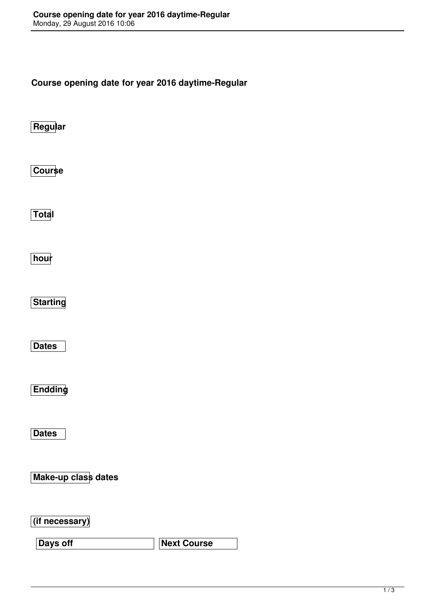**Course opening date for year 2016 daytime-Regular**

**Regular**

**Course**

**Total**

**hour**

**Starting**

**Dates**

**Endding**

**Dates**

**Make-up class dates**

**(if necessary)**

**Days off Next Course**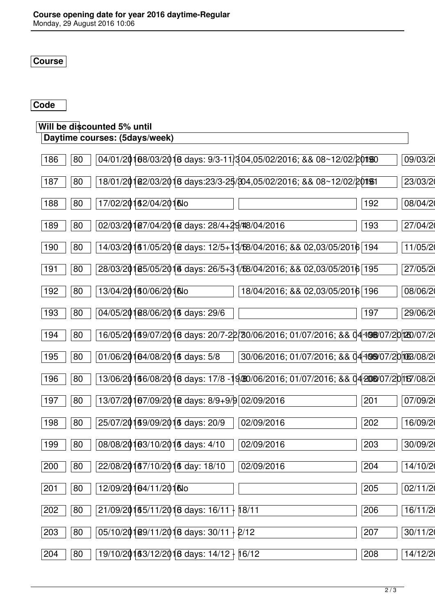**Course**

## **Code**

## **Will be discounted 5% until**

| Daytime courses: (5days/week)                                                                      |     |          |
|----------------------------------------------------------------------------------------------------|-----|----------|
| 04/01/20108/03/2016 days: 9/3-11/304,05/02/2016; && 08~12/02/20190<br>186<br>80                    |     | 09/03/2  |
| 18/01/201 2/03/2016 days:23/3-25/304,05/02/2016; && 08~12/02/20151<br>187<br>80                    |     | 23/03/2  |
| 188<br>17/02/20162/04/2016lo<br>80                                                                 | 192 | 08/04/2  |
| 02/03/20107/04/2010 days: 28/4+29/48/04/2016<br>189<br>80                                          | 193 | 27/04/20 |
| 14/03/20161/05/2018 days: 12/5+13/58/04/2016; && 02,03/05/2016 194<br>190<br>80                    |     | 11/05/20 |
| 28/03/2016 195/05/2016 days: 26/5+31 58/04/2016; & 8 02,03/05/2016 195<br>80<br>191                |     | 27/05/20 |
| 13/04/20160/06/2016lo<br>192<br>18/04/2016; && 02,03/05/2016 196<br>80                             |     | 08/06/20 |
| 04/05/20188/06/2016 days: 29/6<br>193<br>80                                                        | 197 | 29/06/20 |
| 16/05/20169/07/2016 days: 20/7-22/30/06/2016; 01/07/2016; && 04 1088/07/20 20 20<br>80<br>194      |     |          |
| 195<br>$01/06/20104/08/2010$ days: 5/8<br>30/06/2016; 01/07/2016; && 044989/07/201063/08/20<br>80  |     |          |
| 13/06/20166/08/2016 days: 17/8 -19/80/06/2016; 01/07/2016; && 04 2080/07/20 167/08/20<br>196<br>80 |     |          |
| 13/07/20167/09/2012 days: 8/9+9/9 02/09/2016<br>197<br>80                                          | 201 | 07/09/20 |
| 25/07/20169/09/2016 days: 20/9<br>198<br>80<br>02/09/2016                                          | 202 | 16/09/20 |
| 02/09/2016<br>199<br>80<br>08/08/20103/10/2016 days: 4/10                                          | 203 | 30/09/20 |
| 22/08/20167/10/2016 day: 18/10<br>200<br>80<br>02/09/2016                                          | 204 | 14/10/20 |
| 12/09/20104/11/2016lo<br>80<br>201                                                                 | 205 | 02/11/20 |
| 21/09/20165/11/2016 days: 16/11 }<br>18/11<br>202<br>80                                            | 206 | 16/11/20 |
| 05/10/20109/11/2016 days: 30/11 2/12<br>203<br>80                                                  | 207 | 30/11/20 |
| 19/10/20163/12/2016 days: 14/12   16/12<br>204<br>80                                               | 208 | 14/12/20 |
|                                                                                                    |     |          |